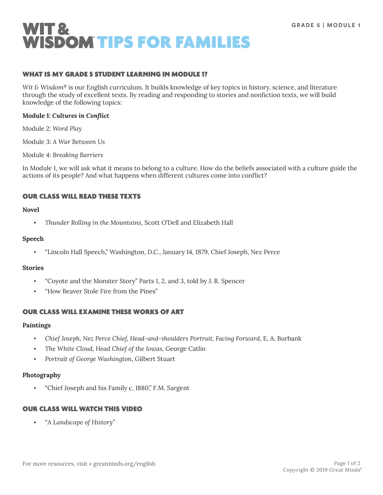

## WHAT IS MY GRADE 5 STUDENT LEARNING IN MODULE 1?

*Wit & Wisdom*® is our English curriculum. It builds knowledge of key topics in history, science, and literature through the study of excellent texts. By reading and responding to stories and nonfiction texts, we will build knowledge of the following topics:

#### **Module 1:** *Cultures in Conflict*

Module 2: *Word Play*

Module 3: *A War Between Us*

Module 4: *Breaking Barriers*

In Module 1, we will ask what it means to belong to a culture. How do the beliefs associated with a culture guide the actions of its people? And what happens when different cultures come into conflict?

## OUR CLASS WILL READ THESE TEXTS

#### **Novel**

▪ *Thunder Rolling in the Mountains*, Scott O'Dell and Elizabeth Hall

#### **Speech**

▪ "Lincoln Hall Speech," Washington, D.C., January 14, 1879, Chief Joseph, Nez Perce

## **Stories**

- "Coyote and the Monster Story" Parts 1, 2, and 3, told by J. R. Spencer
- "How Beaver Stole Fire from the Pines"

## OUR CLASS WILL EXAMINE THESE WORKS OF ART

#### **Paintings**

- *Chief Joseph, Nez Perce Chief, Head-and-shoulders Portrait, Facing Forward*, E. A. Burbank
- *The White Cloud, Head Chief of the Iowas*, George Catlin
- Portrait of George Washington, Gilbert Stuart

## **Photography**

"Chief Joseph and his Family c. 1880," F.M. Sargent

## OUR CLASS WILL WATCH THIS VIDEO

▪ "*A Landscape of History*"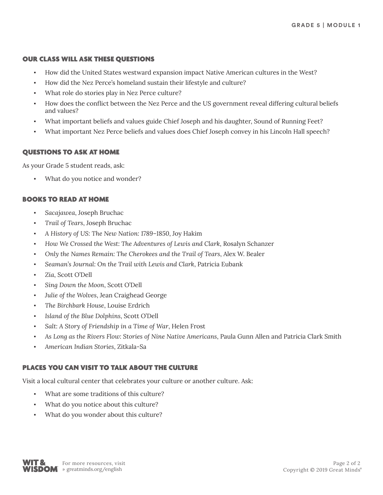## OUR CLASS WILL ASK THESE QUESTIONS

- How did the United States westward expansion impact Native American cultures in the West?
- How did the Nez Perce's homeland sustain their lifestyle and culture?
- What role do stories play in Nez Perce culture?
- How does the conflict between the Nez Perce and the US government reveal differing cultural beliefs and values?
- What important beliefs and values guide Chief Joseph and his daughter, Sound of Running Feet?
- What important Nez Perce beliefs and values does Chief Joseph convey in his Lincoln Hall speech?

# QUESTIONS TO ASK AT HOME

As your Grade 5 student reads, ask:

What do you notice and wonder?

# BOOKS TO READ AT HOME

- Sacajawea, Joseph Bruchac
- *Trail of Tears*, Joseph Bruchac
- *A History of US: The New Nation: 1789–1850*, Joy Hakim
- *How We Crossed the West: The Adventures of Lewis and Clark*, Rosalyn Schanzer
- *Only the Names Remain: The Cherokees and the Trail of Tears*, Alex W. Bealer
- Seaman's Journal: On the Trail with Lewis and Clark, Patricia Eubank
- Zia, Scott O'Dell
- Sing Down the Moon, Scott O'Dell
- Julie of the Wolves, Jean Craighead George
- *The Birchbark House*, Louise Erdrich
- *Island of the Blue Dolphins*, Scott O'Dell
- Salt: A Story of Friendship in a Time of War, Helen Frost
- As Long as the Rivers Flow: Stories of Nine Native Americans, Paula Gunn Allen and Patricia Clark Smith
- *American Indian Stories*, Zitkala-Sa

# PLACES YOU CAN VISIT TO TALK ABOUT THE CULTURE

Visit a local cultural center that celebrates your culture or another culture. Ask:

- What are some traditions of this culture?
- What do you notice about this culture?
- What do you wonder about this culture?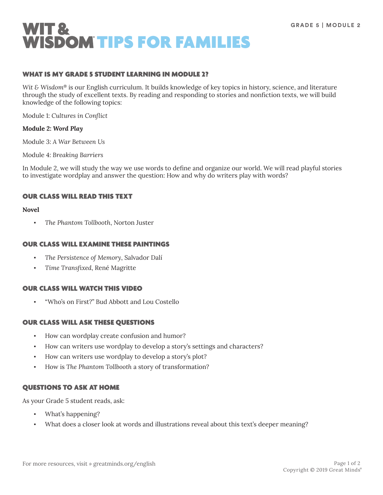

## WHAT IS MY GRADE 5 STUDENT LEARNING IN MODULE 2?

*Wit & Wisdom*® is our English curriculum. It builds knowledge of key topics in history, science, and literature through the study of excellent texts. By reading and responding to stories and nonfiction texts, we will build knowledge of the following topics:

Module 1: *Cultures in Conflict*

#### **Module 2:** *Word Play*

Module 3: *A War Between Us*

Module 4: *Breaking Barriers*

In Module 2, we will study the way we use words to define and organize our world. We will read playful stories to investigate wordplay and answer the question: How and why do writers play with words?

#### OUR CLASS WILL READ THIS TEXT

#### **Novel**

▪ *The Phantom Tollbooth*, Norton Juster

#### OUR CLASS WILL EXAMINE THESE PAINTINGS

- *The Persistence of Memory*, Salvador Dalí
- *Time Transfixed*, René Magritte

## OUR CLASS WILL WATCH THIS VIDEO

"Who's on First?" Bud Abbott and Lou Costello

## OUR CLASS WILL ASK THESE QUESTIONS

- How can wordplay create confusion and humor?
- How can writers use wordplay to develop a story's settings and characters?
- How can writers use wordplay to develop a story's plot?
- How is *The Phantom Tollbooth* a story of transformation?

## QUESTIONS TO ASK AT HOME

As your Grade 5 student reads, ask:

- What's happening?
- What does a closer look at words and illustrations reveal about this text's deeper meaning?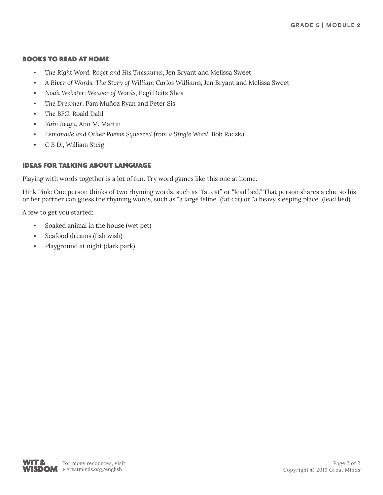## BOOKS TO READ AT HOME

- *The Right Word: Roget and His Thesaurus*, Jen Bryant and Melissa Sweet
- *A River of Words: The Story of William Carlos Williams,* Jen Bryant and Melissa Sweet
- *Noah Webster: Weaver of Words*, Pegi Deitz Shea
- *The Dreamer*, Pam Muñoz Ryan and Peter Sís
- The BFG, Roald Dahl
- *Rain Reign*, Ann M. Martin
- *Lemonade and Other Poems Squeezed from a Single Word*, Bob Raczka
- *C B D!*, William Steig

# IDEAS FOR TALKING ABOUT LANGUAGE

Playing with words together is a lot of fun. Try word games like this one at home.

Hink Pink: One person thinks of two rhyming words, such as "fat cat" or "lead bed." That person shares a clue so his or her partner can guess the rhyming words, such as "a large feline" (fat cat) or "a heavy sleeping place" (lead bed).

A few to get you started:

- Soaked animal in the house (wet pet)
- Seafood dreams (fish wish)
- Playground at night (dark park)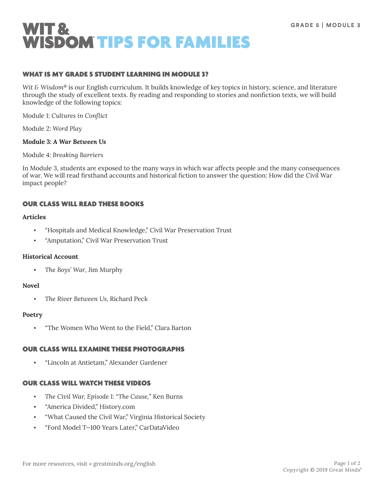

## WHAT IS MY GRADE 5 STUDENT LEARNING IN MODULE 3?

*Wit & Wisdom*® is our English curriculum. It builds knowledge of key topics in history, science, and literature through the study of excellent texts. By reading and responding to stories and nonfiction texts, we will build knowledge of the following topics:

Module 1: *Cultures in Conflict*

Module 2: *Word Play*

#### **Module 3:** *A War Between Us*

Module 4: *Breaking Barriers*

In Module 3, students are exposed to the many ways in which war affects people and the many consequences of war. We will read firsthand accounts and historical fiction to answer the question: How did the Civil War impact people?

## OUR CLASS WILL READ THESE BOOKS

## **Articles**

- "Hospitals and Medical Knowledge," Civil War Preservation Trust
- "Amputation," Civil War Preservation Trust

## **Historical Account**

The Boys' War, Jim Murphy

## **Novel**

▪ *The River Between Us*, Richard Peck

#### **Poetry**

▪ "The Women Who Went to the Field," Clara Barton

## OUR CLASS WILL EXAMINE THESE PHOTOGRAPHS

▪ "Lincoln at Antietam," Alexander Gardener

## OUR CLASS WILL WATCH THESE VIDEOS

- *The Civil War, Episode 1: "The Cause,*" Ken Burns
- "America Divided," History.com
- "What Caused the Civil War," Virginia Historical Society
- "Ford Model T—100 Years Later," CarDataVideo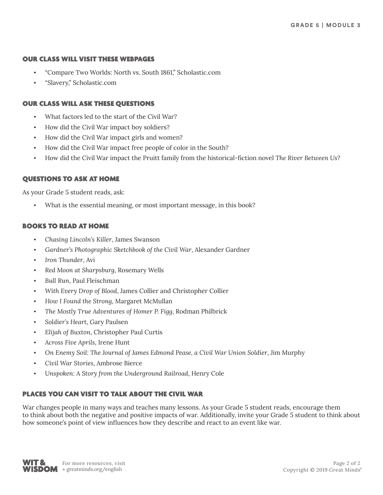## OUR CLASS WILL VISIT THESE WEBPAGES

- "Compare Two Worlds: North vs. South 1861," Scholastic.com
- "Slavery," Scholastic.com

## OUR CLASS WILL ASK THESE QUESTIONS

- What factors led to the start of the Civil War?
- How did the Civil War impact boy soldiers?
- How did the Civil War impact girls and women?
- How did the Civil War impact free people of color in the South?
- How did the Civil War impact the Pruitt family from the historical-fiction novel *The River Between Us*?

# QUESTIONS TO ASK AT HOME

As your Grade 5 student reads, ask:

What is the essential meaning, or most important message, in this book?

## BOOKS TO READ AT HOME

- *Chasing Lincoln's Killer*, James Swanson
- Gardner's Photographic Sketchbook of the Civil War, Alexander Gardner
- Iron Thunder, Avi
- Red Moon at Sharpsburg, Rosemary Wells
- **Bull Run, Paul Fleischman**
- With Every Drop of Blood, James Collier and Christopher Collier
- *How I Found the Strong*, Margaret McMullan
- The Mostly True Adventures of Homer P. Figg, Rodman Philbrick
- *Soldier's Heart*, Gary Paulsen
- *Elijah of Buxton*, Christopher Paul Curtis
- *Across Five Aprils*, Irene Hunt
- *On Enemy Soil: The Journal of James Edmond Pease, a Civil War Union Soldier*, Jim Murphy
- *Civil War Stories*, Ambrose Bierce
- *Unspoken: A Story from the Underground Railroad*, Henry Cole

# PLACES YOU CAN VISIT TO TALK ABOUT THE CIVIL WAR

War changes people in many ways and teaches many lessons. As your Grade 5 student reads, encourage them to think about both the negative and positive impacts of war. Additionally, invite your Grade 5 student to think about how someone's point of view influences how they describe and react to an event like war.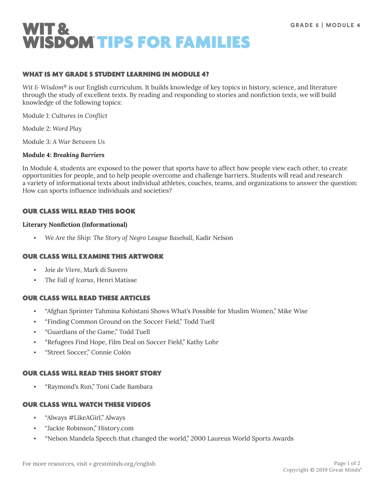

## WHAT IS MY GRADE 5 STUDENT LEARNING IN MODULE 4?

*Wit & Wisdom*® is our English curriculum. It builds knowledge of key topics in history, science, and literature through the study of excellent texts. By reading and responding to stories and nonfiction texts, we will build knowledge of the following topics:

Module 1: *Cultures in Conflict*

Module 2: *Word Play*

Module 3: *A War Between Us*

#### **Module 4:** *Breaking Barriers*

In Module 4, students are exposed to the power that sports have to affect how people view each other, to create opportunities for people, and to help people overcome and challenge barriers. Students will read and research a variety of informational texts about individual athletes, coaches, teams, and organizations to answer the question: How can sports influence individuals and societies?

# OUR CLASS WILL READ THIS BOOK

# **Literary Nonfiction (Informational)**

We Are the Ship: The Story of Negro League Baseball, Kadir Nelson

## OUR CLASS WILL EXAMINE THIS ARTWORK

- *Joie de Vivre*, Mark di Suvero
- *The Fall of Icarus*, Henri Matisse

## OUR CLASS WILL READ THESE ARTICLES

- "Afghan Sprinter Tahmina Kohistani Shows What's Possible for Muslim Women," Mike Wise
- "Finding Common Ground on the Soccer Field," Todd Tuell
- "Guardians of the Game," Todd Tuell
- "Refugees Find Hope, Film Deal on Soccer Field," Kathy Lohr
- "Street Soccer," Connie Colón

## OUR CLASS WILL READ THIS SHORT STORY

▪ "Raymond's Run," Toni Cade Bambara

## OUR CLASS WILL WATCH THESE VIDEOS

- "Always #LikeAGirl," Always
- "Jackie Robinson," History.com
- "Nelson Mandela Speech that changed the world," 2000 Laureus World Sports Awards